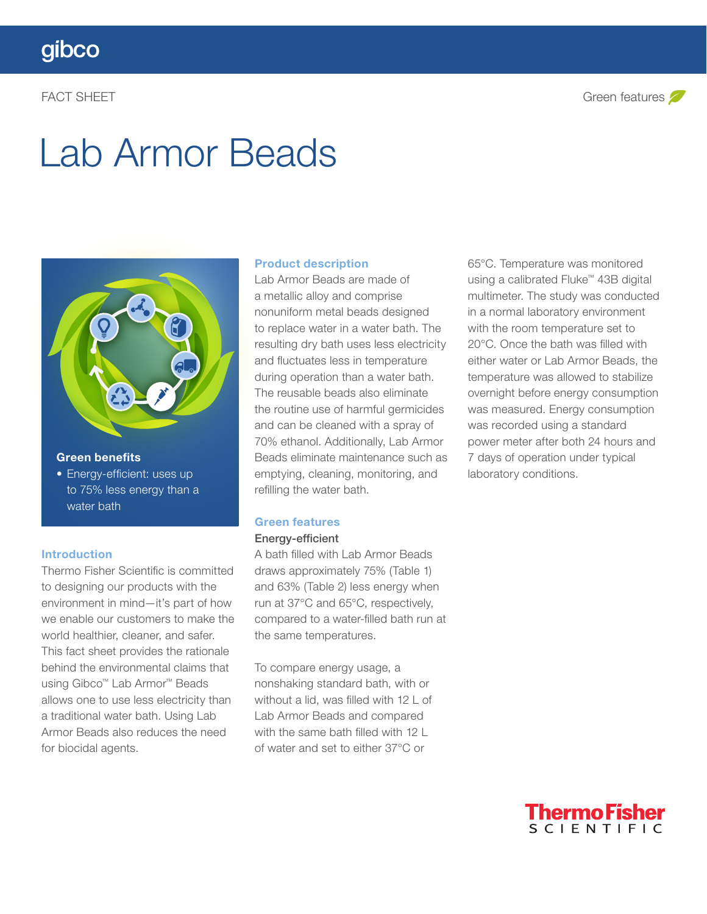# Lab Armor Beads



#### Green benefits

• Energy-efficient: uses up to 75% less energy than a water bath

#### Introduction

Thermo Fisher Scientific is committed to designing our products with the environment in mind—it's part of how we enable our customers to make the world healthier, cleaner, and safer. This fact sheet provides the rationale behind the environmental claims that using Gibco™ Lab Armor™ Beads allows one to use less electricity than a traditional water bath. Using Lab Armor Beads also reduces the need for biocidal agents.

#### Product description

Lab Armor Beads are made of a metallic alloy and comprise nonuniform metal beads designed to replace water in a water bath. The resulting dry bath uses less electricity and fluctuates less in temperature during operation than a water bath. The reusable beads also eliminate the routine use of harmful germicides and can be cleaned with a spray of 70% ethanol. Additionally, Lab Armor Beads eliminate maintenance such as emptying, cleaning, monitoring, and refilling the water bath.

### Green features

#### Energy-efficient

A bath filled with Lab Armor Beads draws approximately 75% (Table 1) and 63% (Table 2) less energy when run at 37°C and 65°C, respectively, compared to a water-filled bath run at the same temperatures.

To compare energy usage, a nonshaking standard bath, with or without a lid, was filled with 12 L of Lab Armor Beads and compared with the same bath filled with 12 L of water and set to either 37°C or

65°C. Temperature was monitored using a calibrated Fluke™ 43B digital multimeter. The study was conducted in a normal laboratory environment with the room temperature set to 20°C. Once the bath was filled with either water or Lab Armor Beads, the temperature was allowed to stabilize overnight before energy consumption was measured. Energy consumption was recorded using a standard power meter after both 24 hours and 7 days of operation under typical laboratory conditions.